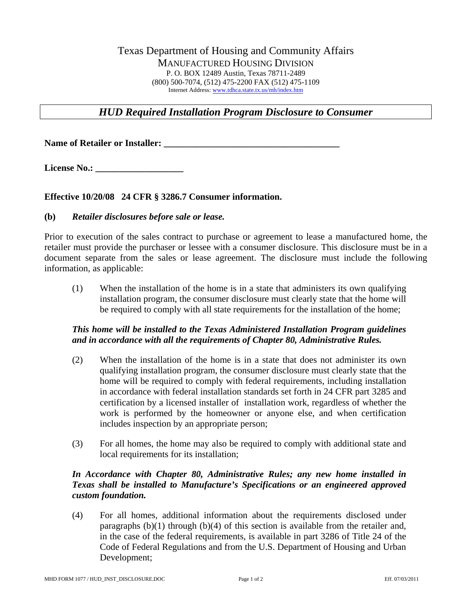## Texas Department of Housing and Community Affairs MANUFACTURED HOUSING DIVISION P. O. BOX 12489 Austin, Texas 78711-2489 (800) 500[-](http://www.tdhca.state.tx.us/mh/index.htm)7074, (5[1](http://www.tdhca.state.tx.us/mh/index.htm)2) 475-2200 FAX (512) 475-1109 Internet Address: [www.tdhca.state.tx.us/mh/index.htm](http://www.tdhca.state.tx.us/mh/index.htm)

# *HUD Required Installation Program Disclosure to Consumer*

Name of Retailer or Installer:

License No.:

### **Effective 10/20/08 24 CFR § 3286.7 Consumer information.**

#### **(b)** *Retailer disclosures before sale or lease.*

Prior to execution of the sales contract to purchase or agreement to lease a manufactured home, the retailer must provide the purchaser or lessee with a consumer disclosure. This disclosure must be in a document separate from the sales or lease agreement. The disclosure must include the following information, as applicable:

(1) When the installation of the home is in a state that administers its own qualifying installation program, the consumer disclosure must clearly state that the home will be required to comply with all state requirements for the installation of the home;

## *This home will be installed to the Texas Administered Installation Program guidelines and in accordance with all the requirements of Chapter 80, Administrative Rules.*

- (2) When the installation of the home is in a state that does not administer its own qualifying installation program, the consumer disclosure must clearly state that the home will be required to comply with federal requirements, including installation in accordance with federal installation standards set forth in 24 CFR part 3285 and certification by a licensed installer of installation work, regardless of whether the work is performed by the homeowner or anyone else, and when certification includes inspection by an appropriate person;
- (3) For all homes, the home may also be required to comply with additional state and local requirements for its installation;

## *In Accordance with Chapter 80, Administrative Rules; any new home installed in Texas shall be installed to Manufacture's Specifications or an engineered approved custom foundation.*

(4) For all homes, additional information about the requirements disclosed under paragraphs  $(b)(1)$  through  $(b)(4)$  of this section is available from the retailer and, in the case of the federal requirements, is available in part 3286 of Title 24 of the Code of Federal Regulations and from the U.S. Department of Housing and Urban Development;